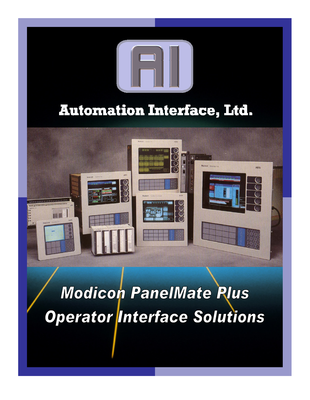

**Modicon PanelMate Plus Operator Interface Solutions**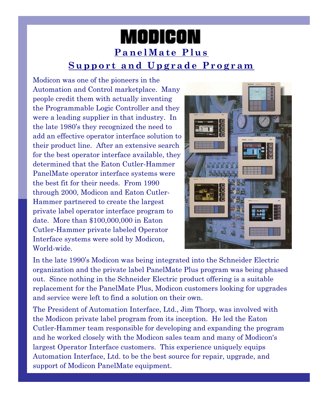# **MODICON PanelMate Plus Support and Upgrade Program**

Modicon was one of the pioneers in the Automation and Control marketplace. Many people credit them with actually inventing the Programmable Logic Controller and they were a leading supplier in that industry. In the late 1980's they recognized the need to add an effective operator interface solution to their product line. After an extensive search for the best operator interface available, they determined that the Eaton Cutler-Hammer PanelMate operator interface systems were the best fit for their needs. From 1990 through 2000, Modicon and Eaton Cutler-Hammer partnered to create the largest private label operator interface program to date. More than \$100,000,000 in Eaton Cutler-Hammer private labeled Operator Interface systems were sold by Modicon, World-wide.



In the late 1990's Modicon was being integrated into the Schneider Electric organization and the private label PanelMate Plus program was being phased out. Since nothing in the Schneider Electric product offering is a suitable replacement for the PanelMate Plus, Modicon customers looking for upgrades and service were left to find a solution on their own.

The President of Automation Interface, Ltd., Jim Thorp, was involved with the Modicon private label program from its inception. He led the Eaton Cutler-Hammer team responsible for developing and expanding the program and he worked closely with the Modicon sales team and many of Modicon's largest Operator Interface customers. This experience uniquely equips Automation Interface, Ltd. to be the best source for repair, upgrade, and support of Modicon PanelMate equipment.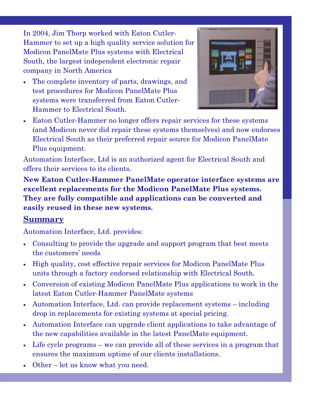In 2004, Jim Thorp worked with Eaton Cutler-Hammer to set up a high quality service solution for Modicon PanelMate Plus systems with Electrical South, the largest independent electronic repair company in North America

• The complete inventory of parts, drawings, and test procedures for Modicon PanelMate Plus systems were transferred from Eaton Cutler-Hammer to Electrical South.



• Eaton Cutler-Hammer no longer offers repair services for these systems (and Modicon never did repair these systems themselves) and now endorses Electrical South as their preferred repair source for Modicon PanelMate Plus equipment.

Automation Interface, Ltd is an authorized agent for Electrical South and offers their services to its clients.

**New Eaton Cutler-Hammer PanelMate operator interface systems are excellent replacements for the Modicon PanelMate Plus systems. They are fully compatible and applications can be converted and easily reused in these new systems.** 

#### **Summary**

Automation Interface, Ltd. provides:

- Consulting to provide the upgrade and support program that best meets the customers' needs
- High quality, cost effective repair services for Modicon PanelMate Plus units through a factory endorsed relationship with Electrical South.
- Conversion of existing Modicon PanelMate Plus applications to work in the latest Eaton Cutler-Hammer PanelMate systems
- Automation Interface, Ltd. can provide replacement systems including drop in replacements for existing systems at special pricing.
- Automation Interface can upgrade client applications to take advantage of the new capabilities available in the latest PanelMate equipment.
- Life cycle programs we can provide all of these services in a program that ensures the maximum uptime of our clients installations.
- Other let us know what you need.